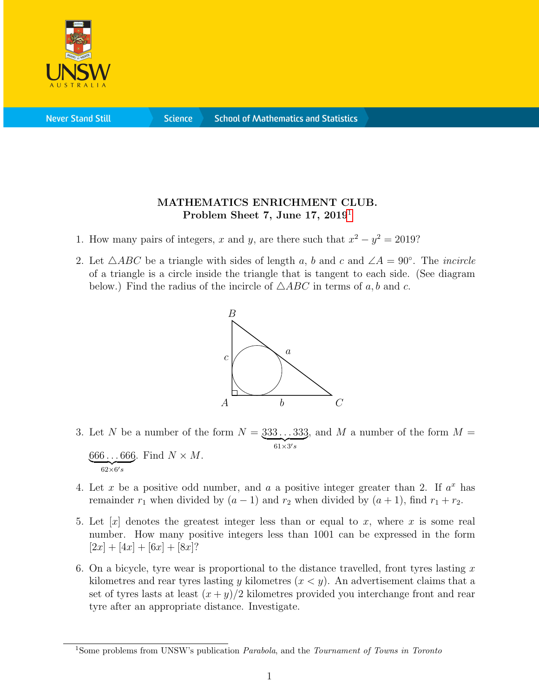

**Never Stand Still** 

**Science** 

## MATHEMATICS ENRICHMENT CLUB. Problem Sheet 7, June [1](#page-0-0)7, 2019<sup>1</sup>

- 1. How many pairs of integers, x and y, are there such that  $x^2 y^2 = 2019$ ?
- 2. Let  $\triangle ABC$  be a triangle with sides of length a, b and c and  $\angle A = 90^\circ$ . The *incircle* of a triangle is a circle inside the triangle that is tangent to each side. (See diagram below.) Find the radius of the incircle of  $\triangle ABC$  in terms of a, b and c.



- 3. Let N be a number of the form  $N = 333...333$  $61\times3's$ , and M a number of the form  $M =$  $666...666$ . Find  $N \times M$ .  $\overline{62\times 6's}$
- 4. Let x be a positive odd number, and a a positive integer greater than 2. If  $a^x$  has remainder  $r_1$  when divided by  $(a - 1)$  and  $r_2$  when divided by  $(a + 1)$ , find  $r_1 + r_2$ .
- 5. Let  $[x]$  denotes the greatest integer less than or equal to x, where x is some real number. How many positive integers less than 1001 can be expressed in the form  $[2x] + [4x] + [6x] + [8x]$ ?
- 6. On a bicycle, tyre wear is proportional to the distance travelled, front tyres lasting  $x$ kilometres and rear tyres lasting y kilometres  $(x < y)$ . An advertisement claims that a set of tyres lasts at least  $(x + y)/2$  kilometres provided you interchange front and rear tyre after an appropriate distance. Investigate.

<span id="page-0-0"></span><sup>&</sup>lt;sup>1</sup>Some problems from UNSW's publication *Parabola*, and the *Tournament of Towns in Toronto*